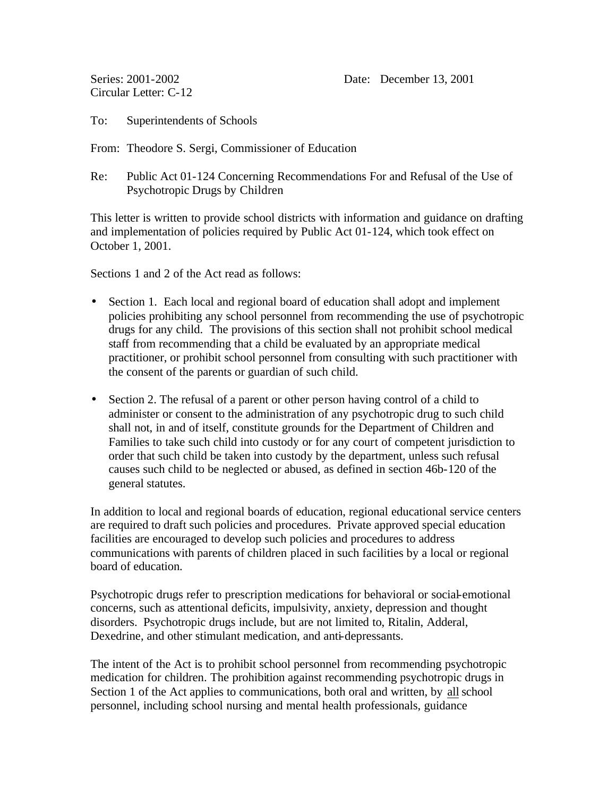Series: 2001-2002 Date: December 13, 2001

Circular Letter: C-12

To: Superintendents of Schools

From: Theodore S. Sergi, Commissioner of Education

Re: Public Act 01-124 Concerning Recommendations For and Refusal of the Use of Psychotropic Drugs by Children

This letter is written to provide school districts with information and guidance on drafting and implementation of policies required by Public Act 01-124, which took effect on October 1, 2001.

Sections 1 and 2 of the Act read as follows:

- Section 1. Each local and regional board of education shall adopt and implement policies prohibiting any school personnel from recommending the use of psychotropic drugs for any child. The provisions of this section shall not prohibit school medical staff from recommending that a child be evaluated by an appropriate medical practitioner, or prohibit school personnel from consulting with such practitioner with the consent of the parents or guardian of such child.
- Section 2. The refusal of a parent or other person having control of a child to administer or consent to the administration of any psychotropic drug to such child shall not, in and of itself, constitute grounds for the Department of Children and Families to take such child into custody or for any court of competent jurisdiction to order that such child be taken into custody by the department, unless such refusal causes such child to be neglected or abused, as defined in section 46b-120 of the general statutes.

In addition to local and regional boards of education, regional educational service centers are required to draft such policies and procedures. Private approved special education facilities are encouraged to develop such policies and procedures to address communications with parents of children placed in such facilities by a local or regional board of education.

Psychotropic drugs refer to prescription medications for behavioral or social-emotional concerns, such as attentional deficits, impulsivity, anxiety, depression and thought disorders. Psychotropic drugs include, but are not limited to, Ritalin, Adderal, Dexedrine, and other stimulant medication, and anti-depressants.

The intent of the Act is to prohibit school personnel from recommending psychotropic medication for children. The prohibition against recommending psychotropic drugs in Section 1 of the Act applies to communications, both oral and written, by all school personnel, including school nursing and mental health professionals, guidance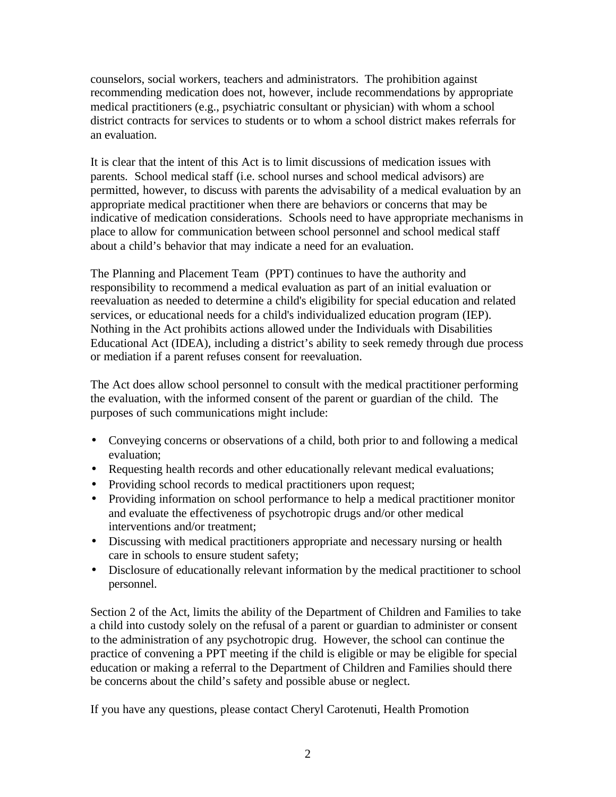counselors, social workers, teachers and administrators. The prohibition against recommending medication does not, however, include recommendations by appropriate medical practitioners (e.g., psychiatric consultant or physician) with whom a school district contracts for services to students or to whom a school district makes referrals for an evaluation.

It is clear that the intent of this Act is to limit discussions of medication issues with parents. School medical staff (i.e. school nurses and school medical advisors) are permitted, however, to discuss with parents the advisability of a medical evaluation by an appropriate medical practitioner when there are behaviors or concerns that may be indicative of medication considerations. Schools need to have appropriate mechanisms in place to allow for communication between school personnel and school medical staff about a child's behavior that may indicate a need for an evaluation.

The Planning and Placement Team (PPT) continues to have the authority and responsibility to recommend a medical evaluation as part of an initial evaluation or reevaluation as needed to determine a child's eligibility for special education and related services, or educational needs for a child's individualized education program (IEP). Nothing in the Act prohibits actions allowed under the Individuals with Disabilities Educational Act (IDEA), including a district's ability to seek remedy through due process or mediation if a parent refuses consent for reevaluation.

The Act does allow school personnel to consult with the medical practitioner performing the evaluation, with the informed consent of the parent or guardian of the child. The purposes of such communications might include:

- Conveying concerns or observations of a child, both prior to and following a medical evaluation;
- Requesting health records and other educationally relevant medical evaluations;
- Providing school records to medical practitioners upon request;
- Providing information on school performance to help a medical practitioner monitor and evaluate the effectiveness of psychotropic drugs and/or other medical interventions and/or treatment;
- Discussing with medical practitioners appropriate and necessary nursing or health care in schools to ensure student safety;
- Disclosure of educationally relevant information by the medical practitioner to school personnel.

Section 2 of the Act, limits the ability of the Department of Children and Families to take a child into custody solely on the refusal of a parent or guardian to administer or consent to the administration of any psychotropic drug. However, the school can continue the practice of convening a PPT meeting if the child is eligible or may be eligible for special education or making a referral to the Department of Children and Families should there be concerns about the child's safety and possible abuse or neglect.

If you have any questions, please contact Cheryl Carotenuti, Health Promotion